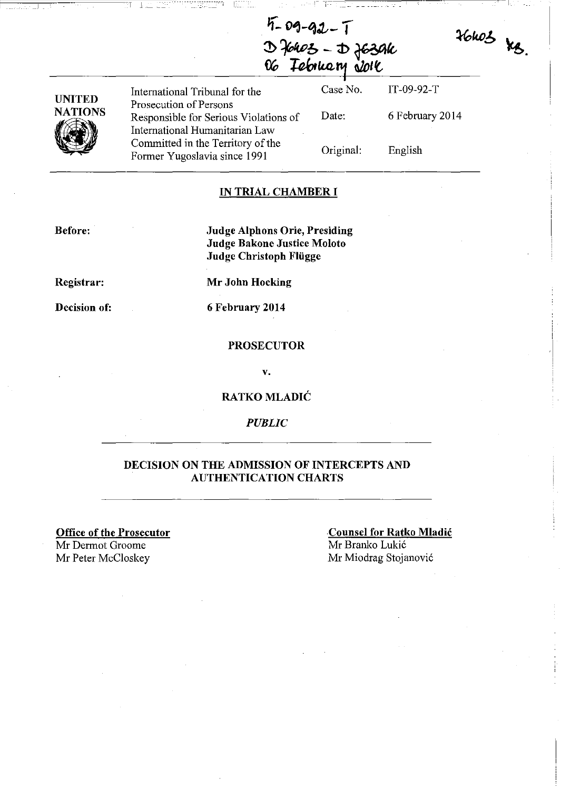$36003$  kg.

| $5 - 09 - 92 - 1$                     |
|---------------------------------------|
|                                       |
| D faros - D fasar<br>06 Tebruary Jole |

| UNITED         |
|----------------|
| <b>NATIONS</b> |
|                |

International Tribunal for the Prosecution of Persons Responsible for Serious Violations of International Humanitarian Law Committed in the Territory of the Former Yugoslavia since 1991 Case No. Date: Original:

6 February 2014

IT-09-92-T

------~~~~~----------~-I

English

# **IN TRIAL CHAMBER I**

**Before:** 

**Judge Alphons Orie, Presiding Judge Bakone Justice Moloto Judge Christoph FIiigge** 

**Registrar:** 

**Mr John Hocking** 

**Decision of:** 

**6 February 2014** 

# **PROSECUTOR**

**v.** 

# **RATKO MLADIC**

# *PUBLIC*

# **DECISION ON THE ADMISSION OF INTERCEPTS AND AUTHENTICATION CHARTS**

**Office of the Prosecutor**  Mr Dermot Groome Mr Peter McCloskey Mr Miodrag Stojanović

**Counsel for Ratko Mladic**  Mr Branko Lukic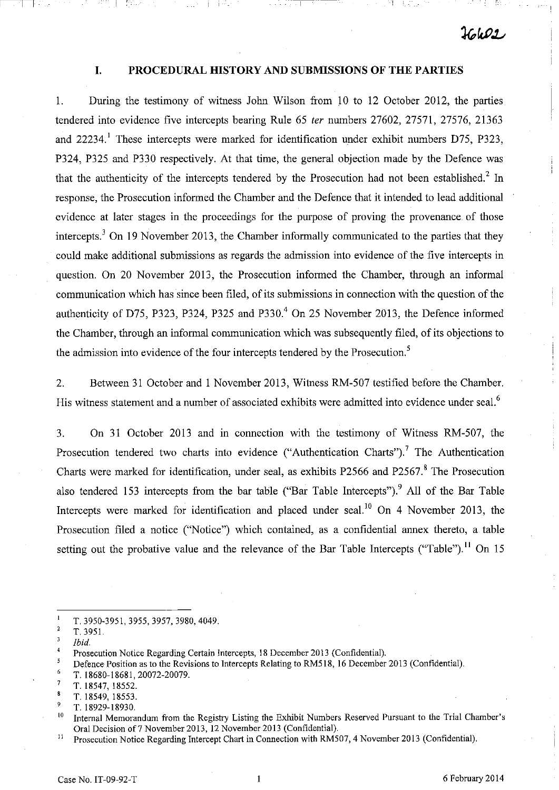# **I. PROCEDURAL HISTORY AND SUBMISSIONS OF THE PARTIES**

~~~~---,-,--~------~!

1. During the testimony of witness John Wilson from 10 to 12 October 2012, the parties tendered into evidence five intercepts bearing Rule 65 fer numbers 27602, 27571, 27576, 21363 and  $22234$ . These intercepts were marked for identification under exhibit numbers D75, P323, P324, P325 and P330 respectively. At that time, the general objection made by the Defence was that the authenticity of the intercepts tendered by the Prosecution had not been established.<sup>2</sup> In response, the Prosecution informed the Chamber and the Defence that it intended to lead additional evidence at later stages in the proceedings for the purpose of proving the provenance. of those intercepts.<sup>3</sup> On 19 November 2013, the Chamber informally communicated to the parties that they could make additional submissions as regards the admission into evidence of the five intercepts in question. On 20 November 2013, the Prosecution informed the Chamber, through an informal communication which has since been filed, of its submissions in connection with the question of the authenticity of D75, P323, P324, P325 and P330.<sup>4</sup> On 25 November 2013, the Defence informed the Chamber, through an informal communication which was subsequently filed, of its objections to the admission into evidence of the four intercepts tendered by the Prosecution.<sup>5</sup>

2. Between 31 October and 1 November 2013, Witness RM-507 testified before the Chamber. His witness statement and a number of associated exhibits were admitted into evidence under seal.<sup>6</sup>

3. On 31 October 2013 and in connection with the testimony of Witness RM-507, the Prosecution tendered two charts into evidence ("Authentication Charts").<sup>7</sup> The Authentication Charts were marked for identification, under seal, as exhibits P2566 and P2567.<sup>8</sup> The Prosecution also tendered 153 intercepts from the bar table ("Bar Table Intercepts").<sup>9</sup> All of the Bar Table Intercepts were marked for identification and placed under seal.<sup>10</sup> On 4 November 2013, the Prosecution filed a notice ("Notice") which contained, as a confidential annex thereto, a table setting out the probative value and the relevance of the Bar Table Intercepts ("Table").<sup>11</sup> On 15

 $\blacksquare$ T. 3950-3951, 3955, 3957, 3980, 4049.

- 6 T. 18680-18681,20072-20079.
- $\overline{7}$ T. 18547, 18552.

<sup>2</sup>  *T.3951.* 

 $\overline{\mathbf{3}}$ *Ibid.* 

 $\boldsymbol{A}$ Prosecution Notice Regarding Certain Intercepts, 18 December 2013 (Confidential).

 $\overline{5}$ Defence Position as to the Revisions to Intercepts Relating to RM518, 16 December 2013 (Confidential).

 $\bf{8}$ T. 18549, 18553.

<sup>9</sup>  T.18929-18930.

<sup>&</sup>lt;sup>10</sup> Internal Memorandum from the Registry Listing the Exhibit Numbers Reserved Pursuant to the Trial Chamber's Oral Decision of7 November 2013, 12 November 2013 (Confidential).

<sup>&</sup>lt;sup>11</sup> Prosecution Notice Regarding Intercept Chart in Connection with RM507, 4 November 2013 (Confidential).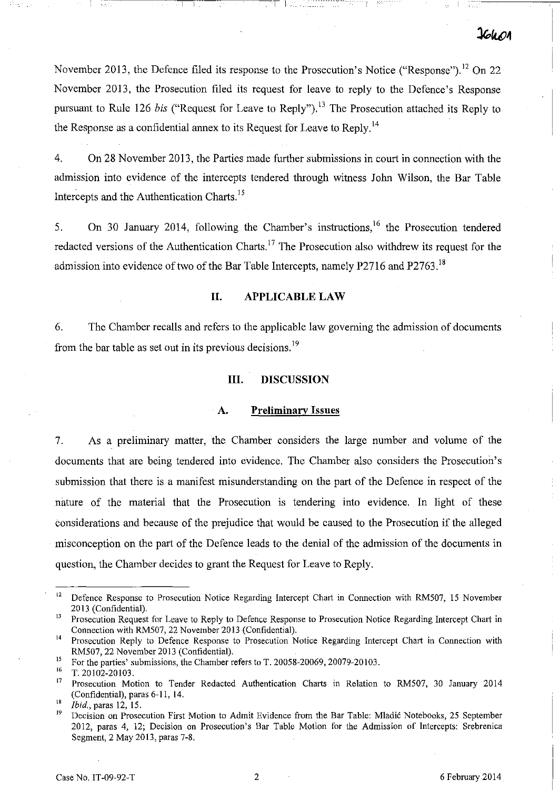November 2013, the Defence filed its response to the Prosecution's Notice ("Response").<sup>12</sup> On 22 November 2013, the Prosecution filed its request for leave to reply to the Defence's Response pursuant to Rule 126 *bis* ("Request for Leave to Reply").<sup>13</sup> The Prosecution attached its Reply to the Response as a confidential annex to its Request for Leave to Reply.<sup>14</sup>

 $~\cdot~$   $~\cdot~$   $~\cdot~$   $~\cdot~$   $~\cdot~$   $~\cdot~$   $~\cdot~$   $~\cdot~$   $~\cdot~$   $~\cdot~$   $~\cdot~$   $~\cdot~$   $~\cdot~$   $~\cdot~$   $~\cdot~$   $~\cdot~$   $~\cdot~$   $~\cdot~$   $~\cdot~$   $~\cdot~$   $~\cdot~$   $~\cdot~$   $~\cdot~$   $~\cdot~$   $~\cdot~$   $~\cdot~$   $~\cdot~$   $~\cdot~$   $~\cdot~$   $~\cdot~$   $~\cdot~$   $~\cdot$ 

4. On 28 November 2013, the Parties made further submissions in court in connection with the admission into evidence of the intercepts tendered through witness John Wilson, the Bar Table Intercepts and the Authentication Charts.<sup>15</sup>

5. On 30 January 2014, following the Chamber's instructions,<sup>16</sup> the Prosecution tendered redacted versions of the Authentication Charts.<sup>17</sup> The Prosecution also withdrew its request for the admission into evidence of two of the Bar Table Intercepts, namely P2716 and P2763.<sup>18</sup>

# **II. APPLICABLE LAW**

6. The Chamber recalls and refers to the applicable law governing the admission of documents from the bar table as set out in its previous decisions.<sup>19</sup>

# **III. DISCUSSION**

#### **A. Preliminary Issues**

7. As a preliminary matter, the Chamber considers the large number and volume of the documents that are being tendered into evidence. The Chamber also considers the Prosecution's submission that there is a manifest misunderstanding on the part of the Defence in respect of the nature of the material that the Prosecution is tendering into evidence. In light of these considerations and because of the prejudice that would be caused to the Prosecution if the alleged misconception on the part of the Defence leads to the denial of the admission of the documents in question, the Chamber decides to grant the Request for Leave to Reply.

<sup>&</sup>lt;sup>12</sup> Defence Response to Prosecution Notice Regarding Intercept Chart in Connection with RM507, 15 November 2013 (Confidential).

<sup>&</sup>lt;sup>13</sup> Prosecution Request for Leave to Reply to Defence Response to Prosecution Notice Regarding Intercept Chart in Connection with RMS07, 22 November 2013 (Confidential).

<sup>&</sup>lt;sup>14</sup> Prosecution Reply to Defence Response to Prosecution Notice Regarding Intercept Chart in Connection with RMS07, 22 November 2013 (Confidential).

<sup>&</sup>lt;sup>15</sup> For the parties' submissions, the Chamber refers to T. 20058-20069, 20079-20103.

 $^{16}$  T. 20102-20103.

<sup>17</sup> Prosecution Motion to Tender Redacted Authentication Charts in Relation to RMS07, 30 January 2014 (Confidential), paras 6-11, 14.

 $\int_{18}^{18}$  *Ibid.*, paras 12, 15.

Decision on Prosecution First Motion to Admit Evidence from the Bar Table: Mladić Notebooks, 25 September 2012, paras 4, 12; Decision on Prosecution's Bar Table Motion for the Admission of Intercepts: Srebrenica Segment, 2 May 2013, paras 7-8.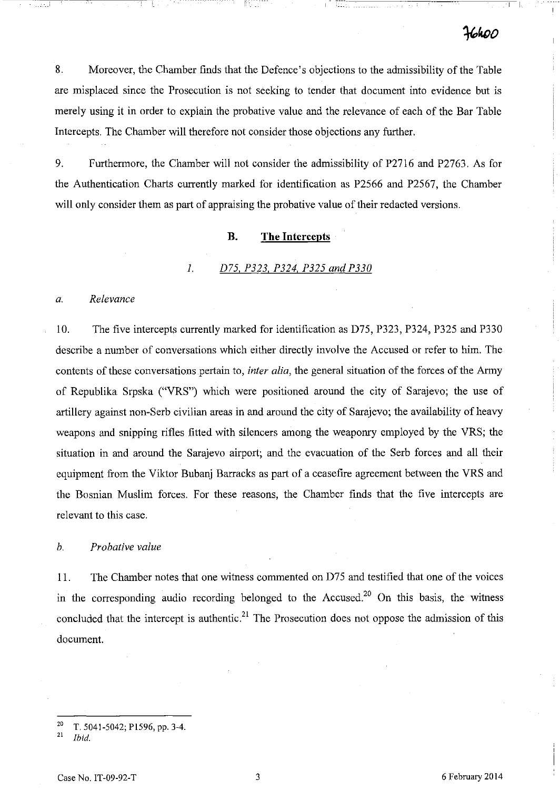! 1-

8. Moreover, the Chamber finds that the Defence's objections to the admissibility of the Table are misplaced since the Prosecution is not seeking to tender that document into evidence but is merely using it in order to explain the probative value and the relevance of each of the Bar Table Intercepts. The Chamber will therefore not consider those objections any further.

9. Furthermore, the Chamber will not consider the admissibility of P2716 and P2763. As for the Authentication Charts currently marked for identification as P2566 and P2567, the Chamber will only consider them as part of appraising the probative value of their redacted versions.

#### **B. The Intercepts**

#### *1. D75, P323. P324, P325 and P330*

#### *a. Relevance*

10. The five intercepts currently marked for identification as D75, P323, P324, P325 and P330 describe a number of conversations which either directly involve the Accused or refer to him. The contents of these conversations pertain to, *inter alia,* the general situation of the forces of the Army of Republika Srpska ("VRS") which were positioned around the city of Sarajevo; the use of artillery against non-Serb civilian areas in and around the city of Sarajevo; the availability of heavy weapons and snipping rifles fitted with silencers among the weaponry employed by the VRS; the situation in and around the Sarajevo airport; and the evacuation of the Serb forces and all their equipment from the Viktor Bubanj Barracks as part of a ceasefire agreement between the VRS and the Bosnian Muslim forces. For these reasons, the Chamber finds that the five intercepts are relevant to this case.

#### *h. Probative value*

11. The Chamber notes that one witness commented on D75 and testified that one of the voices in the corresponding audio recording belonged to the Accused.<sup>20</sup> On this basis, the witness concluded that the intercept is authentic.<sup>21</sup> The Prosecution does not oppose the admission of this document.

<sup>&</sup>lt;sup>20</sup> T. 5041-5042; P1596, pp. 3-4.<br><sup>21</sup> Ibid

<sup>21</sup>*Ibid.*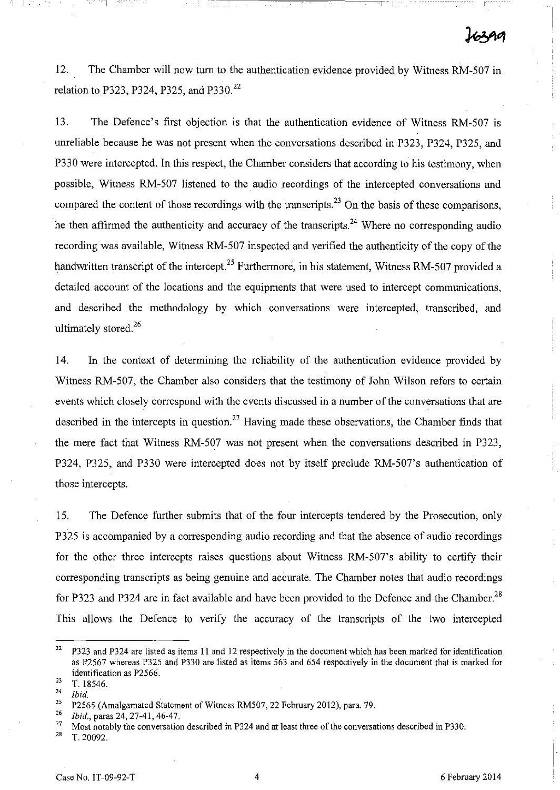12. The Chamber will now tum to the authentication evidence provided by Witness RM-507 in relation to P323, P324, P325, and P330.<sup>22</sup>

13. The Defence's first objection is that the authentication evidence of Witness RM-507 IS unreliable because he was not present when the conversations described in P323, P324, P325, and P330 were intercepted. In this respect, the Chamber considers that according to his testimony, when possible, Witness RM-507 listened to the audio recordings of the intercepted conversations and compared the content of those recordings with the transcripts.<sup>23</sup> On the basis of these comparisons, The then affirmed the authenticity and accuracy of the transcripts.<sup>24</sup> Where no corresponding audio recording was available, Witness RM-507 inspected and verified the authenticity of the copy of the handwritten transcript of the intercept.<sup>25</sup> Furthermore, in his statement, Witness RM-507 provided a detailed account of the locations and the equipments that were used to intercept communications, and described the methodology by which conversations were intercepted, transcribed, and ultimately stored.<sup>26</sup>

14. In the context of determining the reliability of the authentication evidence provided by Witness RM-507, the Chamber also considers that the testimony of John Wilson refers to certain events which closely correspond with the events discussed in a number of the conversations that are described in the intercepts in question.<sup>27</sup> Having made these observations, the Chamber finds that the mere fact that Witness RM-507 was not present when the conversations described in P323, P324, P325, and P330 were intercepted does not by itself preclude RM-507's authentication of those intercepts.

15. The Defence further submits that of the four intercepts tendered by the Prosecution, only P325 is accompanied by a corresponding audio recording and that the absence of audio recordings for the other three intercepts raises questions about Witness RM-507's ability to certify their corresponding transcripts as being genuine and accurate. The Chamber notes that audio recordings for P323 and P324 are in fact available and have been provided to the Defence and the Chamber.<sup>28</sup> This allows the Defence to verify the accuracy of the transcripts of the two intercepted

 $\mathbb{I} \setminus \mathbb{R}$ 

<sup>28</sup>**T.20092.** 

<sup>&</sup>lt;sup>22</sup> P323 and P324 are listed as items 11 and 12 respectively in the document which has been marked for identification as P2567 whereas P325 and P330 are listed as items 563 and 654 respectively in the document that is marked for identification as P2566.

 $\frac{23}{24}$  T. 18546.

 $rac{24}{25}$  *Ibid.*<br><sup>25</sup> P<sub>256</sub>

<sup>&</sup>lt;sup>25</sup> P2565 (Amalgamated Statement of Witness RM507, 22 February 2012), para. 79.<br><sup>26</sup> Ibid. paras 24, 27, 41, 46, 47

*<sup>26</sup> Ibid.,* paras 24, 27-41, 46-47.

<sup>&</sup>lt;sup>27</sup> Most notably the conversation described in P324 and at least three of the conversations described in P330.<br><sup>28</sup> T 20002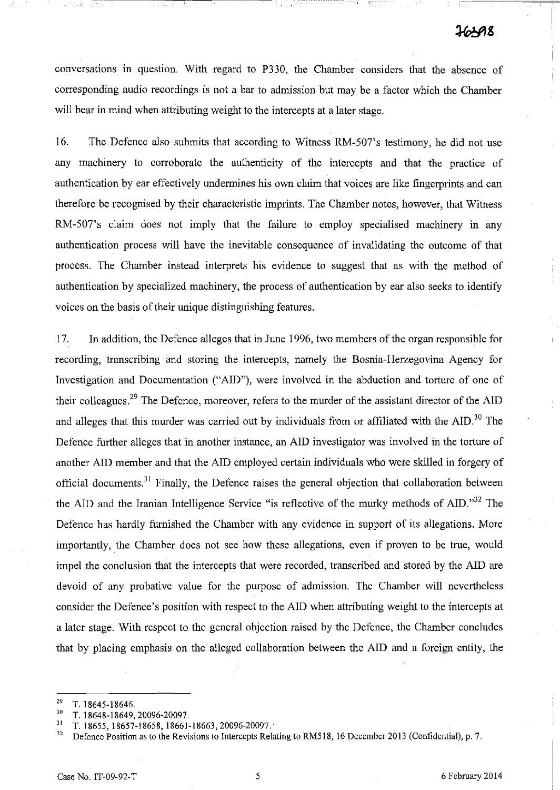conversations in question. With regard to P330, the Chamber considers that the absence of corresponding audio recordings is not a bar to admission but may be a factor which the Chamber will bear in mind when attributing weight to the intercepts at a later stage.

r 1-:--

16. The Defence also submits that according to Witness RM-507's testimony, he did not use any machinery to corroborate the authenticity of the intercepts and that the practice of authentication by ear effectively undermines his own claim that voices are like fingerprints and can therefore be recognised by their characteristic imprints. The Chamber notes, however, that Witness RM-507's claim does not imply that the failure to employ specialised machinery in any authentication process will have the inevitable consequence of invalidating the outcome of that process. The Chamber instead interprets his evidence to suggest that as with the method of authentication by specialized machinery, the process of authentication by ear also seeks to identify voices on the basis of their unique distinguishing features.

17. In addition, the Defence alleges that in June 1996, two members of the organ responsible for recording, transcribing and storing the intercepts, namely the Bosnia-Herzegovina Agency for Investigation and Documentation ("AID"), were involved in the abduction and torture of one of their colleagues.<sup>29</sup> The Defence, moreover, refers to the murder of the assistant director of the AID and alleges that this murder was carried out by individuals from or affiliated with the AID.<sup>30</sup> The Defence further alleges that in another instance, an AID investigator was involved in the torture of another AID member and that the AID employed certain individuals who were skilled in forgery of official documents.<sup>31</sup> Finally, the Defence raises the general objection that collaboration between the AID and the Iranian Intelligence Service "is reflective of the murky methods of AID."<sup>32</sup> The Defence has hardly furnished the Chamber with any evidence in support of its allegations. More importantly, the Chamber does not see how these allegations, even if proven to be true, would impel the conclusion that the intercepts that were recorded, transcribed and stored by the AID are devoid of any probative value for the purpose of admission. The Chamber will nevertheless consider the Defence's position with respect to the AID when attributing weight to the intercepts at a later stage. With respect to the general objection raised by the Defence, the Chamber concludes that by placing emphasis on the alleged collaboration between the AID and a foreign entity, the

 $\frac{29}{30}$  T. 18645-18646.

<sup>&</sup>lt;sup>30</sup> T. 18648-18649, 20096-20097.

 $\frac{31}{32}$  T. 18655, 18657-18658, 18661-18663, 20096-20097.

<sup>32</sup> Defence Position as to the Revisions to Intercepts Relating to RM5l8, 16 December 2013 (Confidential), p. 7.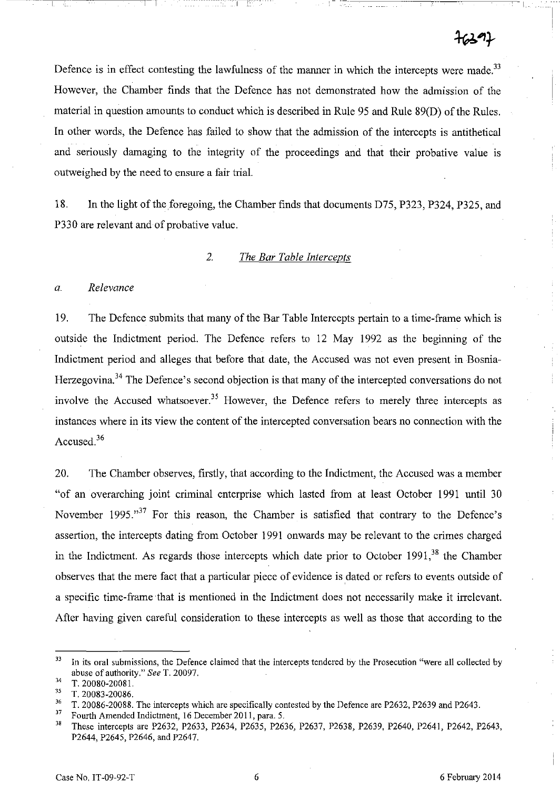Defence is in effect contesting the lawfulness of the manner in which the intercepts were made.<sup>33</sup> However, the Chamber finds that the Defence has not demonstrated how the admission of the material in question amounts to conduct which is described in Rule 95 and Rule 89(D) of the Rules. In other words, the Defence has failed to show that the admission of the intercepts is antithetical and seriously damaging to the integrity of the proceedings and that their probative value is outweighed by the need to ensure a fair trial.

18. In the light of the foregoing, the Chamber finds that documents D75, P323, P324, P325, and P330 are relevant and of probative value.

## *2. The Bar Table Intercepts*

#### *a. Relevance*

19. The Defence submits that many of the Bar Table Intercepts pertain to a time-frame which is outside the Indictment period. The Defence refers to 12 May 1992 as the beginning of the Indictment period and alleges that before that date, the Accused was not even present in Bosnia-Herzegovina.<sup>34</sup> The Defence's second objection is that many of the intercepted conversations do not involve the Accused whatsoever.<sup>35</sup> However, the Defence refers to merely three intercepts as instances where in its view the content of the intercepted conversation bears no connection with the Accused.<sup>36</sup>

20. The Chamber observes, firstly, that according to the Indictment, the Accused was a member "of an overarching joint criminal enterprise which lasted from at least October 1991 until 30 November 1995.<sup>37</sup> For this reason, the Chamber is satisfied that contrary to the Defence's assertion, the intercepts dating from October 1991 onwards may be relevant to the crimes charged in the Indictment. As regards those intercepts which date prior to October  $1991<sup>38</sup>$ , the Chamber observes that the mere fact that a particular piece of evidence is dated or refers to events outside of a specific time-frame that is mentioned in the Indictment does not necessarily malce it irrelevant. After having given careful consideration to these intercepts as well as those that according to the

J3 **In its oral submissions, the Defence claimed that the intercepts tendered by the Prosecution "were all collected by**  abuse of authority." *See* T. 20097.

 $\frac{34}{35}$  T. 20080-20081.

 $\frac{35}{36}$  T. 20083-20086.

<sup>&</sup>lt;sup>36</sup> T. 20086-20088. The intercepts which are specifically contested by the Defence are P2632, P2639 and P2643.

<sup>&</sup>lt;sup>37</sup> Fourth Amended Indictment, 16 December 2011, para. 5.<br><sup>38</sup> These intercents are P2632, P2633, P2634, P2635, P26

<sup>3.</sup> These intercepts are P2632, P2633, P2634, P2635, P2636, P2637, P2638, P2639, P2640, P2641, P2642, P2643, P2644, P2645, P2646, and P2647.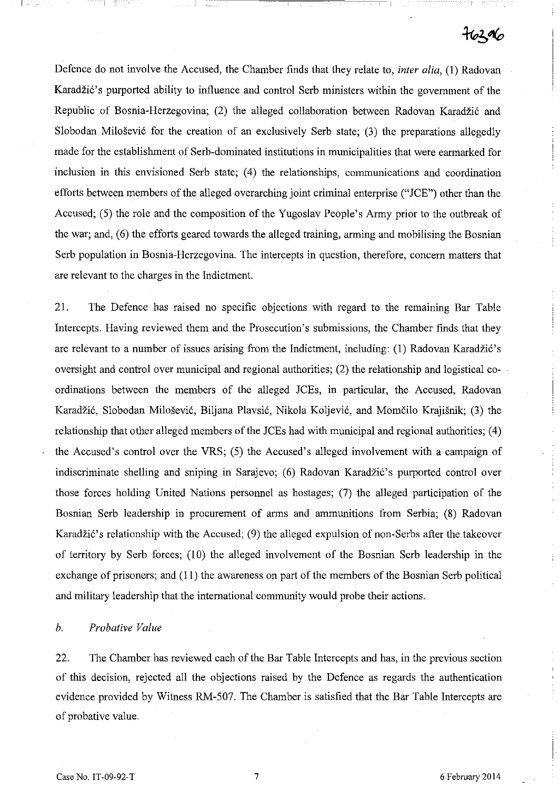# $76306$

Defence do not involve the Accused, the Chamber finds that they relate to, *inter alia,* (1) Radovan Karadžić's purported ability to influence and control Serb ministers within the government of the Republic of Bosnia-Herzegovina; (2) the alleged collaboration between Radovan Karadžić and Slobodan Milošević for the creation of an exclusively Serb state; (3) the preparations allegedly made for the establishment of Serb-dominated institutions in municipalities that were earmarked for inclusion in this envisioned Serb state; (4) the relationships, communications and coordination efforts between members of the alleged overarching joint criminal enterprise ("lCE") other than the Accused; (5) the role and the composition of the Yugoslav People's Army prior to the outbreak of the war; and, (6) the efforts geared towards the alleged training, arming and mobilising the Bosnian Serb population in Bosnia-Herzegovina. The intercepts in question, therefore, concern matters that are relevant to the charges in the Indictment.

21. The Defence has raised no specific objections with regard to the remaining Bar Table Intercepts. Having reviewed them and the Prosecution's submissions, the Chamber finds that they are relevant to a number of issues arising from the Indictment, including: (1) Radovan Karadžić's oversight and control over municipal and regional authorities; (2) the relationship and logistical coordinations between the members of the alleged lCEs, in particular, the Accused, Radovan Karadžić, Slobodan Milošević, Biljana Plavsić, Nikola Koljević, and Momčilo Krajišnik; (3) the relationship that other alleged members of the lCEs had with municipal and regional authorities; (4) the Accused's control over the VRS; (5) the Accused's alleged involvement with a campaign of indiscriminate shelling and sniping in Sarajevo; (6) Radovan Karadžić's purported control over those forces holding United Nations personnel as hostages; (7) the alleged participation of the Bosnian Serb leadership in procurement of arms and anununitions from Serbia; (8) Radovan Karadžić's relationship with the Accused; (9) the alleged expulsion of non-Serbs after the takeover of territory by Serb forces; (10) the alleged involvement of the Bosnian Serb leadership in the exchange of prisoners; and (11) the awareness on part of the members of the Bosnian Serb political and military leadership that the international community would probe their actions.

#### *b. Probative Value*

22. The Chamber has reviewed each of the Bar Table Intercepts and has, in the previous section of this decision, rejected all the objections raised by the Defence as regards the authentication evidence provided by Witness RM-507. The Chamber is satisfied that the Bar Table Intercepts are of probative value.

I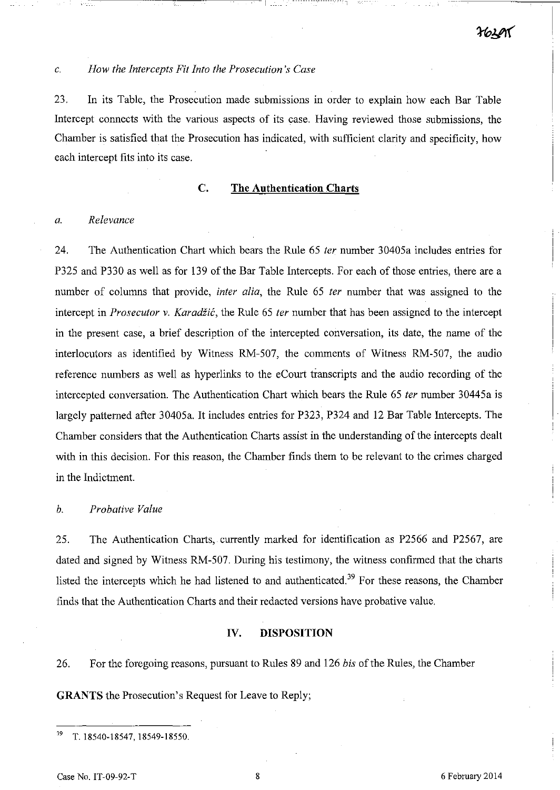# c. *How the Intercepts Fit Into the Prosecution's Case*

23. In its Table, the Prosecution made submissions in order to explain how each Bar Table Intercept connects with the various aspects of its case. Having reviewed those submissions, the Chamber is satisfied that the Prosecution has indicated, with sufficient clarity and specificity, how each intercept fits into its case.

#### C. **The Authentication Charts**

#### *a. Relevance*

24. The Authentication Chart which bears the Rule 65 *ter* number 30405a includes entries for P325 and P330 as well as for 139 of the Bar Table Intercepts. For each of those entries, there are a number of columns that provide, *inter alia,* the Rule 65 *ter* number that was assigned to the intercept in *Prosecutor v. Karadžić*, the Rule 65 *ter* number that has been assigned to the intercept in the present case, a brief description of the intercepted conversation, its date, the name of the interlocutors as identified by Witness RM-507, the comments of Witness RM-507, the audio reference numbers as well as hyperlinks to the eCourt transcripts and the audio recording of the intercepted conversation. The Authentication Chart which bears the Rule 65 *ter* number 30445a is largely patterned after 30405a. It includes entries for P323, P324 and 12 Bar Table Intercepts. The Chamber considers that the Authentication Charts assist in the understanding of the intercepts dealt with in this decision. For this reason, the Chamber finds them to be relevant to the crimes charged in the Indictment.

# *b. Probative Value*

25. The Authentication Charts, currently marked for identification as P2566 and P2567, are dated and signed by Witness RM-507. During his testimony, the witness confirmed that the charts listed the intercepts which he had listened to and authenticated.<sup>39</sup> For these reasons, the Chamber finds that the Authentication Charts and their redacted versions have probative value.

# **IV. DISPOSITION**

26. For the foregoing reasons, pursuant to Rules 89 and 126 *bis* of the Rules, the Chamber **GRANTS** the Prosecution's Request for Leave to Reply;

<sup>39</sup> T. 18540-18547, 18549-18550.